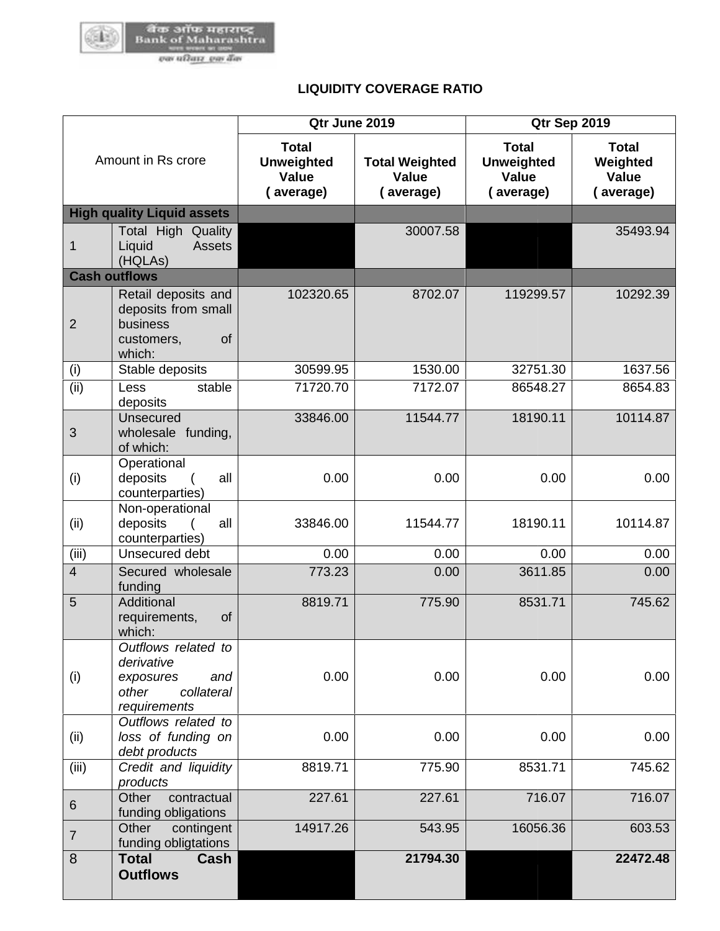

## **LIQUIDITY COVERAGE RATIO**

| Amount in Rs crore |                                                                                              | Qtr June 2019                                           |                                             | Qtr Sep 2019                                                   |                                                       |  |
|--------------------|----------------------------------------------------------------------------------------------|---------------------------------------------------------|---------------------------------------------|----------------------------------------------------------------|-------------------------------------------------------|--|
|                    |                                                                                              | <b>Total</b><br><b>Unweighted</b><br>Value<br>(average) | <b>Total Weighted</b><br>Value<br>(average) | <b>Total</b><br><b>Unweighted</b><br><b>Value</b><br>(average) | <b>Total</b><br>Weighted<br><b>Value</b><br>(average) |  |
|                    | <b>High quality Liquid assets</b>                                                            |                                                         |                                             |                                                                |                                                       |  |
| 1                  | Total High Quality<br><b>Assets</b><br>Liquid<br>(HQLAs)                                     |                                                         | 30007.58                                    |                                                                | 35493.94                                              |  |
|                    | <b>Cash outflows</b>                                                                         |                                                         |                                             |                                                                |                                                       |  |
| $\overline{2}$     | Retail deposits and<br>deposits from small<br>business<br>of<br>customers,<br>which:         | 102320.65                                               | 8702.07                                     | 119299.57                                                      | 10292.39                                              |  |
| (i)                | Stable deposits                                                                              | 30599.95                                                | 1530.00                                     | 32751.30                                                       | 1637.56                                               |  |
| (ii)               | stable<br>Less<br>deposits                                                                   | 71720.70                                                | 7172.07                                     | 86548.27                                                       | 8654.83                                               |  |
| 3                  | Unsecured<br>wholesale funding,<br>of which:                                                 | 33846.00                                                | 11544.77                                    | 18190.11                                                       | 10114.87                                              |  |
| (i)                | Operational<br>deposits<br>all<br>counterparties)                                            | 0.00                                                    | 0.00                                        | 0.00                                                           | 0.00                                                  |  |
| (ii)               | Non-operational<br>deposits<br>all<br>counterparties)                                        | 33846.00                                                | 11544.77                                    | 18190.11                                                       | 10114.87                                              |  |
| (iii)              | Unsecured debt                                                                               | 0.00                                                    | 0.00                                        | 0.00                                                           | 0.00                                                  |  |
| $\overline{4}$     | Secured wholesale<br>funding                                                                 | 773.23                                                  | 0.00                                        | 3611.85                                                        | 0.00                                                  |  |
| 5                  | Additional<br>requirements,<br>of<br>which:                                                  | 8819.71                                                 | 775.90                                      | 8531.71                                                        | 745.62                                                |  |
| (i)                | Outflows related to<br>derivative<br>exposures<br>and<br>other<br>collateral<br>requirements | 0.00                                                    | 0.00                                        | 0.00                                                           | 0.00                                                  |  |
| (ii)               | Outflows related to<br>loss of funding on<br>debt products                                   | 0.00                                                    | 0.00                                        | 0.00                                                           | 0.00                                                  |  |
| (iii)              | Credit and liquidity<br>products                                                             | 8819.71                                                 | 775.90                                      | 8531.71                                                        | 745.62                                                |  |
| $\,6\,$            | Other<br>contractual<br>funding obligations                                                  | 227.61                                                  | 227.61                                      | 716.07                                                         | 716.07                                                |  |
| $\overline{7}$     | Other<br>contingent<br>funding obligtations                                                  | 14917.26                                                | 543.95                                      | 16056.36                                                       | 603.53                                                |  |
| $\boldsymbol{8}$   | <b>Total</b><br>Cash<br><b>Outflows</b>                                                      |                                                         | 21794.30                                    |                                                                | 22472.48                                              |  |